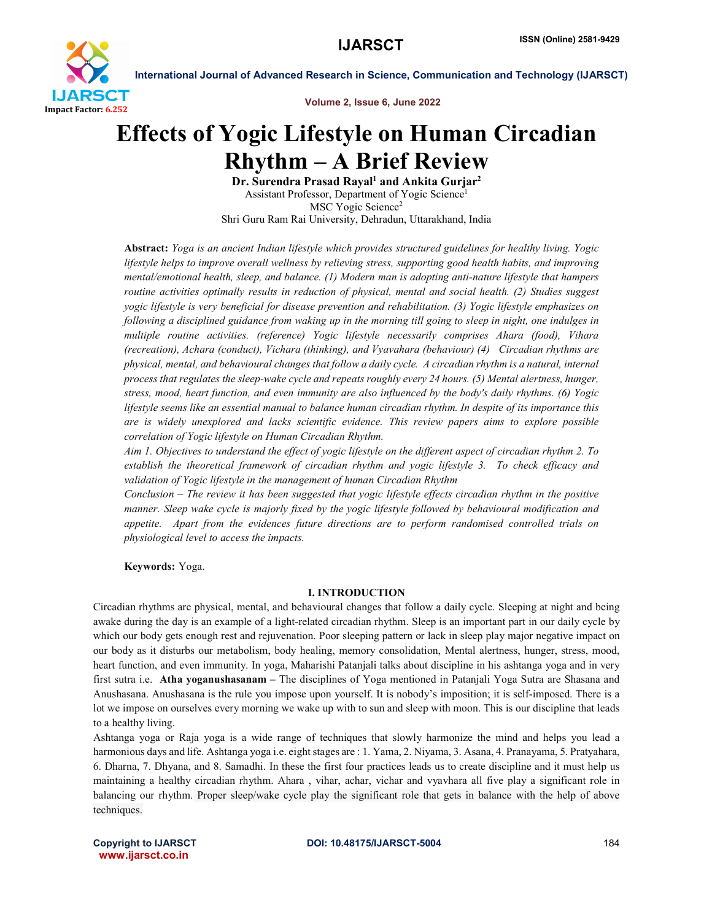

Volume 2, Issue 6, June 2022

# Effects of Yogic Lifestyle on Human Circadian Rhythm – A Brief Review

Dr. Surendra Prasad Rayal<sup>1</sup> and Ankita Gurjar<sup>2</sup> Assistant Professor, Department of Yogic Science1 MSC Yogic Science<sup>2</sup> Shri Guru Ram Rai University, Dehradun, Uttarakhand, India

Abstract: *Yoga is an ancient Indian lifestyle which provides structured guidelines for healthy living. Yogic lifestyle helps to improve overall wellness by relieving stress, supporting good health habits, and improving mental/emotional health, sleep, and balance. (1) Modern man is adopting anti-nature lifestyle that hampers routine activities optimally results in reduction of physical, mental and social health. (2) Studies suggest yogic lifestyle is very beneficial for disease prevention and rehabilitation. (3) Yogic lifestyle emphasizes on following a disciplined guidance from waking up in the morning till going to sleep in night, one indulges in multiple routine activities. (reference) Yogic lifestyle necessarily comprises Ahara (food), Vihara (recreation), Achara (conduct), Vichara (thinking), and Vyavahara (behaviour) (4) Circadian rhythms are physical, mental, and behavioural changes that follow a daily cycle. A circadian rhythm is a natural, internal process that regulates the sleep-wake cycle and repeats roughly every 24 hours. (5) Mental alertness, hunger, stress, mood, heart function, and even immunity are also influenced by the body's daily rhythms. (6) Yogic lifestyle seems like an essential manual to balance human circadian rhythm. In despite of its importance this are is widely unexplored and lacks scientific evidence. This review papers aims to explore possible correlation of Yogic lifestyle on Human Circadian Rhythm.* 

*Aim 1. Objectives to understand the effect of yogic lifestyle on the different aspect of circadian rhythm 2. To establish the theoretical framework of circadian rhythm and yogic lifestyle 3. To check efficacy and validation of Yogic lifestyle in the management of human Circadian Rhythm* 

*Conclusion – The review it has been suggested that yogic lifestyle effects circadian rhythm in the positive manner. Sleep wake cycle is majorly fixed by the yogic lifestyle followed by behavioural modification and appetite. Apart from the evidences future directions are to perform randomised controlled trials on physiological level to access the impacts.*

Keywords: Yoga.

# I. INTRODUCTION

Circadian rhythms are physical, mental, and behavioural changes that follow a daily cycle. Sleeping at night and being awake during the day is an example of a light-related circadian rhythm. Sleep is an important part in our daily cycle by which our body gets enough rest and rejuvenation. Poor sleeping pattern or lack in sleep play major negative impact on our body as it disturbs our metabolism, body healing, memory consolidation, Mental alertness, hunger, stress, mood, heart function, and even immunity. In yoga, Maharishi Patanjali talks about discipline in his ashtanga yoga and in very first sutra i.e. Atha yoganushasanam – The disciplines of Yoga mentioned in Patanjali Yoga Sutra are Shasana and Anushasana. Anushasana is the rule you impose upon yourself. It is nobody's imposition; it is self-imposed. There is a lot we impose on ourselves every morning we wake up with to sun and sleep with moon. This is our discipline that leads to a healthy living.

Ashtanga yoga or Raja yoga is a wide range of techniques that slowly harmonize the mind and helps you lead a harmonious days and life. Ashtanga yoga i.e. eight stages are : 1. Yama, 2. Niyama, 3. Asana, 4. Pranayama, 5. Pratyahara, 6. Dharna, 7. Dhyana, and 8. Samadhi. In these the first four practices leads us to create discipline and it must help us maintaining a healthy circadian rhythm. Ahara , vihar, achar, vichar and vyavhara all five play a significant role in balancing our rhythm. Proper sleep/wake cycle play the significant role that gets in balance with the help of above techniques.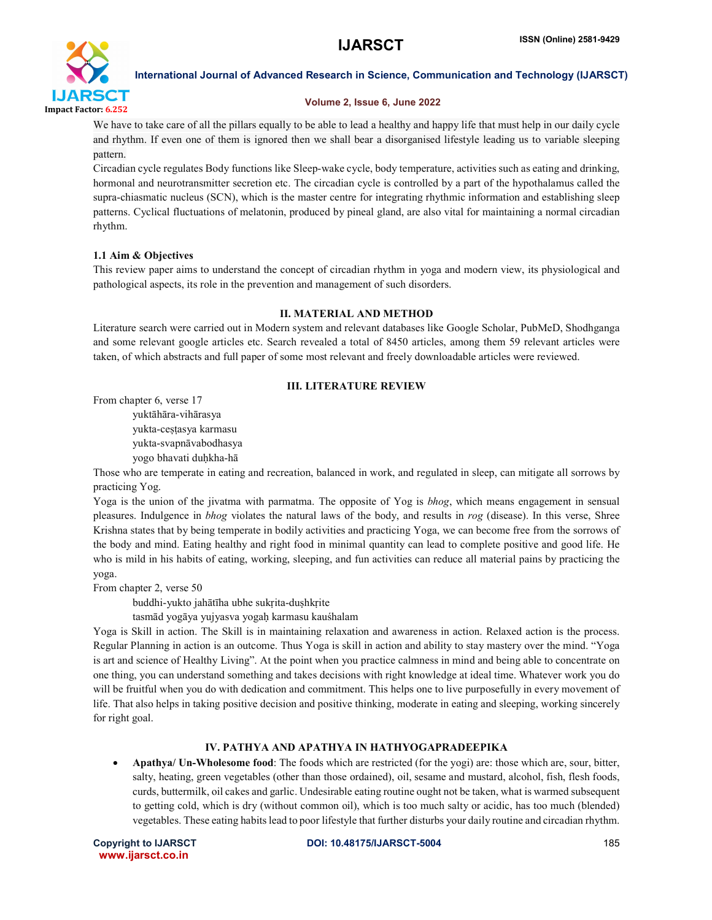

### Volume 2, Issue 6, June 2022

We have to take care of all the pillars equally to be able to lead a healthy and happy life that must help in our daily cycle and rhythm. If even one of them is ignored then we shall bear a disorganised lifestyle leading us to variable sleeping pattern.

Circadian cycle regulates Body functions like Sleep-wake cycle, body temperature, activities such as eating and drinking, hormonal and neurotransmitter secretion etc. The circadian cycle is controlled by a part of the hypothalamus called the supra-chiasmatic nucleus (SCN), which is the master centre for integrating rhythmic information and establishing sleep patterns. Cyclical fluctuations of melatonin, produced by pineal gland, are also vital for maintaining a normal circadian rhythm.

# 1.1 Aim & Objectives

This review paper aims to understand the concept of circadian rhythm in yoga and modern view, its physiological and pathological aspects, its role in the prevention and management of such disorders.

# II. MATERIAL AND METHOD

Literature search were carried out in Modern system and relevant databases like Google Scholar, PubMeD, Shodhganga and some relevant google articles etc. Search revealed a total of 8450 articles, among them 59 relevant articles were taken, of which abstracts and full paper of some most relevant and freely downloadable articles were reviewed.

# III. LITERATURE REVIEW

From chapter 6, verse 17

yuktāhāra-vihārasya yukta-ceṣṭasya karmasu

yukta-svapnāvabodhasya

yogo bhavati duḥkha-hā

Those who are temperate in eating and recreation, balanced in work, and regulated in sleep, can mitigate all sorrows by practicing Yog.

Yoga is the union of the jivatma with parmatma. The opposite of Yog is *bhog*, which means engagement in sensual pleasures. Indulgence in *bhog* violates the natural laws of the body, and results in *rog* (disease). In this verse, Shree Krishna states that by being temperate in bodily activities and practicing Yoga, we can become free from the sorrows of the body and mind. Eating healthy and right food in minimal quantity can lead to complete positive and good life. He who is mild in his habits of eating, working, sleeping, and fun activities can reduce all material pains by practicing the yoga.

From chapter 2, verse 50

buddhi-yukto jahātīha ubhe sukṛita-duṣhkṛite

tasmād yogāya yujyasva yogaḥ karmasu kauśhalam

Yoga is Skill in action. The Skill is in maintaining relaxation and awareness in action. Relaxed action is the process. Regular Planning in action is an outcome. Thus Yoga is skill in action and ability to stay mastery over the mind. "Yoga is art and science of Healthy Living". At the point when you practice calmness in mind and being able to concentrate on one thing, you can understand something and takes decisions with right knowledge at ideal time. Whatever work you do will be fruitful when you do with dedication and commitment. This helps one to live purposefully in every movement of life. That also helps in taking positive decision and positive thinking, moderate in eating and sleeping, working sincerely for right goal.

# IV. PATHYA AND APATHYA IN HATHYOGAPRADEEPIKA

 Apathya/ Un-Wholesome food: The foods which are restricted (for the yogi) are: those which are, sour, bitter, salty, heating, green vegetables (other than those ordained), oil, sesame and mustard, alcohol, fish, flesh foods, curds, buttermilk, oil cakes and garlic. Undesirable eating routine ought not be taken, what is warmed subsequent to getting cold, which is dry (without common oil), which is too much salty or acidic, has too much (blended) vegetables. These eating habits lead to poor lifestyle that further disturbs your daily routine and circadian rhythm.

www.ijarsct.co.in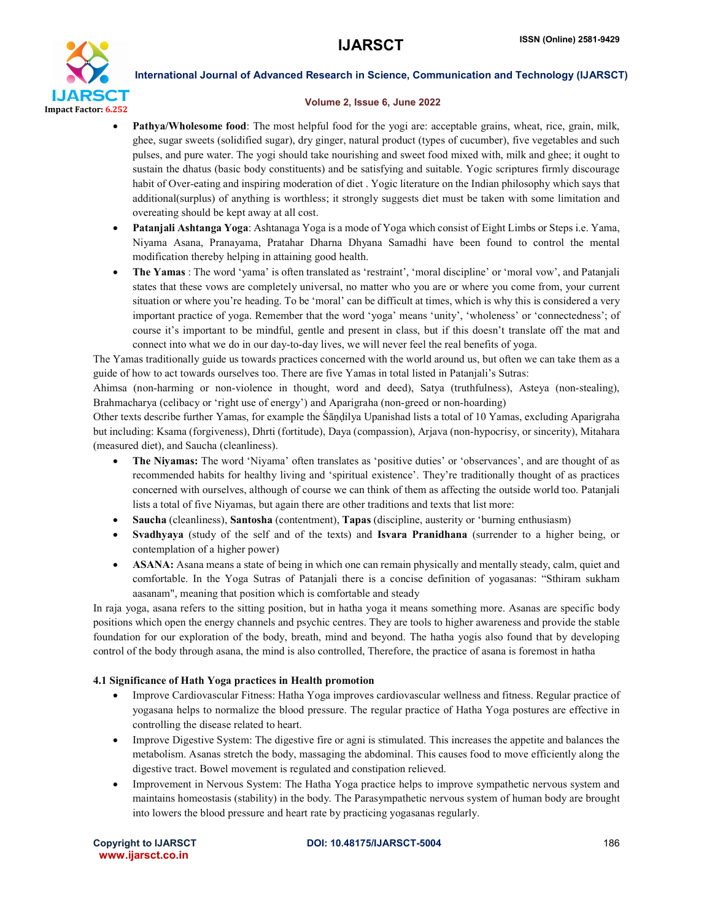

#### Volume 2, Issue 6, June 2022

- Pathya/Wholesome food: The most helpful food for the yogi are: acceptable grains, wheat, rice, grain, milk, ghee, sugar sweets (solidified sugar), dry ginger, natural product (types of cucumber), five vegetables and such pulses, and pure water. The yogi should take nourishing and sweet food mixed with, milk and ghee; it ought to sustain the dhatus (basic body constituents) and be satisfying and suitable. Yogic scriptures firmly discourage habit of Over-eating and inspiring moderation of diet . Yogic literature on the Indian philosophy which says that additional(surplus) of anything is worthless; it strongly suggests diet must be taken with some limitation and overeating should be kept away at all cost.
- Patanjali Ashtanga Yoga: Ashtanaga Yoga is a mode of Yoga which consist of Eight Limbs or Steps i.e. Yama, Niyama Asana, Pranayama, Pratahar Dharna Dhyana Samadhi have been found to control the mental modification thereby helping in attaining good health.
- The Yamas : The word 'yama' is often translated as 'restraint', 'moral discipline' or 'moral vow', and Patanjali states that these vows are completely universal, no matter who you are or where you come from, your current situation or where you're heading. To be 'moral' can be difficult at times, which is why this is considered a very important practice of yoga. Remember that the word 'yoga' means 'unity', 'wholeness' or 'connectedness'; of course it's important to be mindful, gentle and present in class, but if this doesn't translate off the mat and connect into what we do in our day-to-day lives, we will never feel the real benefits of yoga.

The Yamas traditionally guide us towards practices concerned with the world around us, but often we can take them as a guide of how to act towards ourselves too. There are five Yamas in total listed in Patanjali's Sutras:

Ahimsa (non-harming or non-violence in thought, word and deed), Satya (truthfulness), Asteya (non-stealing), Brahmacharya (celibacy or 'right use of energy') and Aparigraha (non-greed or non-hoarding)

Other texts describe further Yamas, for example the Śāṇḍilya Upanishad lists a total of 10 Yamas, excluding Aparigraha but including: Ksama (forgiveness), Dhrti (fortitude), Daya (compassion), Arjava (non-hypocrisy, or sincerity), Mitahara (measured diet), and Saucha (cleanliness).

- The Niyamas: The word 'Niyama' often translates as 'positive duties' or 'observances', and are thought of as recommended habits for healthy living and 'spiritual existence'. They're traditionally thought of as practices concerned with ourselves, although of course we can think of them as affecting the outside world too. Patanjali lists a total of five Niyamas, but again there are other traditions and texts that list more:
- Saucha (cleanliness), Santosha (contentment), Tapas (discipline, austerity or 'burning enthusiasm)
- Svadhyaya (study of the self and of the texts) and Isvara Pranidhana (surrender to a higher being, or contemplation of a higher power)
- ASANA: Asana means a state of being in which one can remain physically and mentally steady, calm, quiet and comfortable. In the Yoga Sutras of Patanjali there is a concise definition of yogasanas: "Sthiram sukham aasanam", meaning that position which is comfortable and steady

In raja yoga, asana refers to the sitting position, but in hatha yoga it means something more. Asanas are specific body positions which open the energy channels and psychic centres. They are tools to higher awareness and provide the stable foundation for our exploration of the body, breath, mind and beyond. The hatha yogis also found that by developing control of the body through asana, the mind is also controlled, Therefore, the practice of asana is foremost in hatha

# 4.1 Significance of Hath Yoga practices in Health promotion

- Improve Cardiovascular Fitness: Hatha Yoga improves cardiovascular wellness and fitness. Regular practice of yogasana helps to normalize the blood pressure. The regular practice of Hatha Yoga postures are effective in controlling the disease related to heart.
- Improve Digestive System: The digestive fire or agni is stimulated. This increases the appetite and balances the metabolism. Asanas stretch the body, massaging the abdominal. This causes food to move efficiently along the digestive tract. Bowel movement is regulated and constipation relieved.
- Improvement in Nervous System: The Hatha Yoga practice helps to improve sympathetic nervous system and maintains homeostasis (stability) in the body. The Parasympathetic nervous system of human body are brought into lowers the blood pressure and heart rate by practicing yogasanas regularly.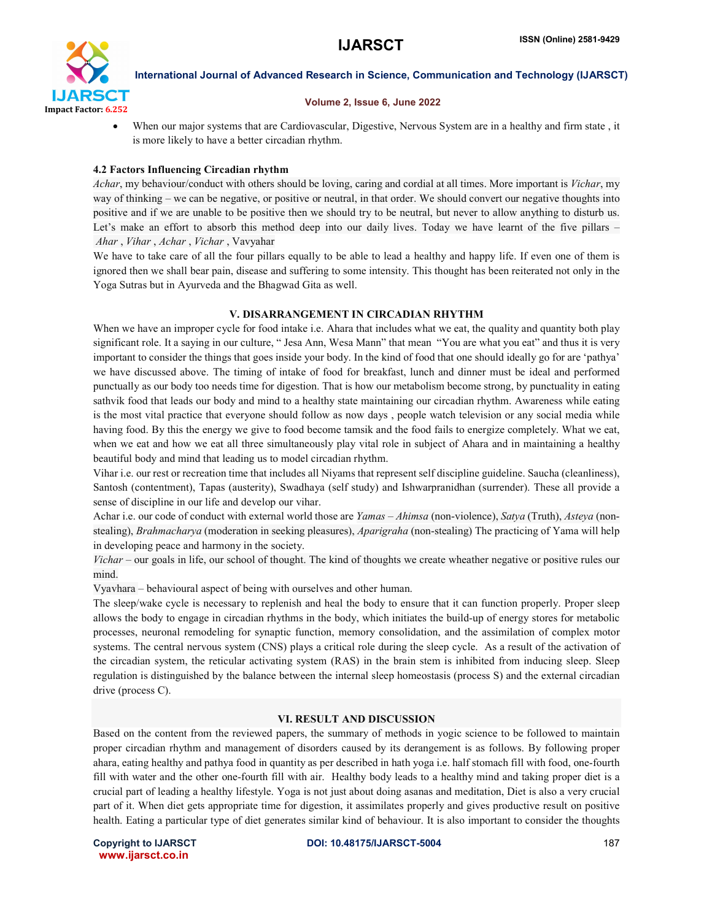

#### Volume 2, Issue 6, June 2022

 When our major systems that are Cardiovascular, Digestive, Nervous System are in a healthy and firm state , it is more likely to have a better circadian rhythm.

### 4.2 Factors Influencing Circadian rhythm

*Achar*, my behaviour/conduct with others should be loving, caring and cordial at all times. More important is *Vichar*, my way of thinking – we can be negative, or positive or neutral, in that order. We should convert our negative thoughts into positive and if we are unable to be positive then we should try to be neutral, but never to allow anything to disturb us. Let's make an effort to absorb this method deep into our daily lives. Today we have learnt of the five pillars – *Ahar* , *Vihar* , *Achar* , *Vichar* , Vavyahar

We have to take care of all the four pillars equally to be able to lead a healthy and happy life. If even one of them is ignored then we shall bear pain, disease and suffering to some intensity. This thought has been reiterated not only in the Yoga Sutras but in Ayurveda and the Bhagwad Gita as well.

#### V. DISARRANGEMENT IN CIRCADIAN RHYTHM

When we have an improper cycle for food intake i.e. Ahara that includes what we eat, the quality and quantity both play significant role. It a saying in our culture, " Jesa Ann, Wesa Mann" that mean "You are what you eat" and thus it is very important to consider the things that goes inside your body. In the kind of food that one should ideally go for are 'pathya' we have discussed above. The timing of intake of food for breakfast, lunch and dinner must be ideal and performed punctually as our body too needs time for digestion. That is how our metabolism become strong, by punctuality in eating sathvik food that leads our body and mind to a healthy state maintaining our circadian rhythm. Awareness while eating is the most vital practice that everyone should follow as now days , people watch television or any social media while having food. By this the energy we give to food become tamsik and the food fails to energize completely. What we eat, when we eat and how we eat all three simultaneously play vital role in subject of Ahara and in maintaining a healthy beautiful body and mind that leading us to model circadian rhythm.

Vihar i.e. our rest or recreation time that includes all Niyams that represent self discipline guideline. Saucha (cleanliness), Santosh (contentment), Tapas (austerity), Swadhaya (self study) and Ishwarpranidhan (surrender). These all provide a sense of discipline in our life and develop our vihar.

Achar i.e. our code of conduct with external world those are *Yamas* – *Ahimsa* (non-violence), *Satya* (Truth), *Asteya* (nonstealing), *Brahmacharya* (moderation in seeking pleasures), *Aparigraha* (non-stealing) The practicing of Yama will help in developing peace and harmony in the society.

*Vichar* – our goals in life, our school of thought. The kind of thoughts we create wheather negative or positive rules our mind.

Vyavhara – behavioural aspect of being with ourselves and other human.

The sleep/wake cycle is necessary to replenish and heal the body to ensure that it can function properly. Proper sleep allows the body to engage in circadian rhythms in the body, which initiates the build-up of energy stores for metabolic processes, neuronal remodeling for synaptic function, memory consolidation, and the assimilation of complex motor systems. The central nervous system (CNS) plays a critical role during the sleep cycle. As a result of the activation of the circadian system, the reticular activating system (RAS) in the brain stem is inhibited from inducing sleep. Sleep regulation is distinguished by the balance between the internal sleep homeostasis (process S) and the external circadian drive (process C).

#### VI. RESULT AND DISCUSSION

Based on the content from the reviewed papers, the summary of methods in yogic science to be followed to maintain proper circadian rhythm and management of disorders caused by its derangement is as follows. By following proper ahara, eating healthy and pathya food in quantity as per described in hath yoga i.e. half stomach fill with food, one-fourth fill with water and the other one-fourth fill with air. Healthy body leads to a healthy mind and taking proper diet is a crucial part of leading a healthy lifestyle. Yoga is not just about doing asanas and meditation, Diet is also a very crucial part of it. When diet gets appropriate time for digestion, it assimilates properly and gives productive result on positive health. Eating a particular type of diet generates similar kind of behaviour. It is also important to consider the thoughts

www.ijarsct.co.in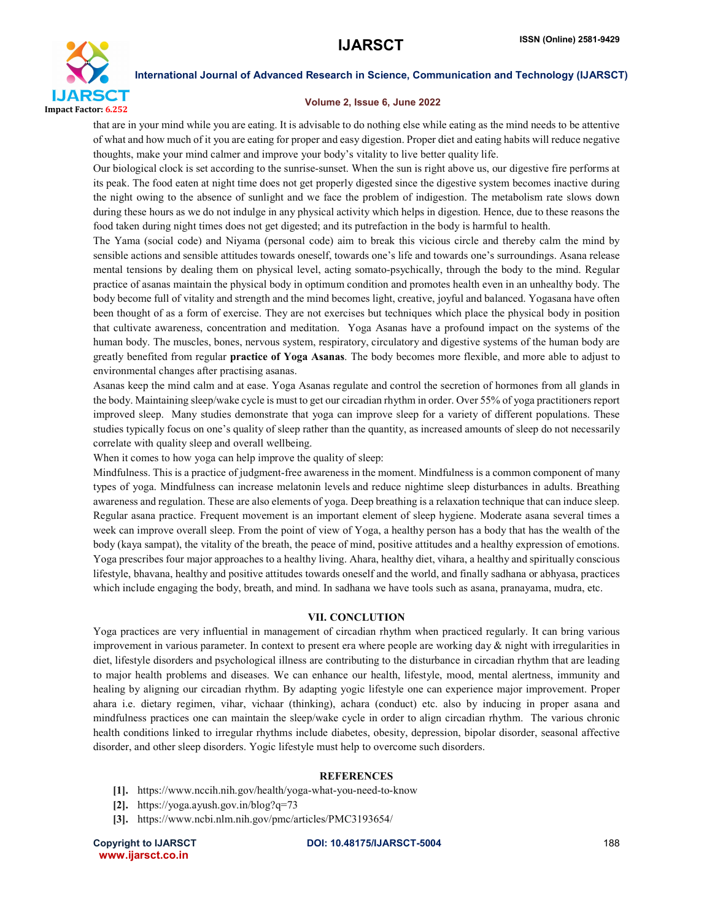

#### Volume 2, Issue 6, June 2022

that are in your mind while you are eating. It is advisable to do nothing else while eating as the mind needs to be attentive of what and how much of it you are eating for proper and easy digestion. Proper diet and eating habits will reduce negative thoughts, make your mind calmer and improve your body's vitality to live better quality life.

Our biological clock is set according to the sunrise-sunset. When the sun is right above us, our digestive fire performs at its peak. The food eaten at night time does not get properly digested since the digestive system becomes inactive during the night owing to the absence of sunlight and we face the problem of indigestion. The metabolism rate slows down during these hours as we do not indulge in any physical activity which helps in digestion. Hence, due to these reasons the food taken during night times does not get digested; and its putrefaction in the body is harmful to health.

The Yama (social code) and Niyama (personal code) aim to break this vicious circle and thereby calm the mind by sensible actions and sensible attitudes towards oneself, towards one's life and towards one's surroundings. Asana release mental tensions by dealing them on physical level, acting somato-psychically, through the body to the mind. Regular practice of asanas maintain the physical body in optimum condition and promotes health even in an unhealthy body. The body become full of vitality and strength and the mind becomes light, creative, joyful and balanced. Yogasana have often been thought of as a form of exercise. They are not exercises but techniques which place the physical body in position that cultivate awareness, concentration and meditation. Yoga Asanas have a profound impact on the systems of the human body. The muscles, bones, nervous system, respiratory, circulatory and digestive systems of the human body are greatly benefited from regular practice of Yoga Asanas. The body becomes more flexible, and more able to adjust to environmental changes after practising asanas.

Asanas keep the mind calm and at ease. Yoga Asanas regulate and control the secretion of hormones from all glands in the body. Maintaining sleep/wake cycle is must to get our circadian rhythm in order. Over 55% of yoga practitioners report improved sleep. Many studies demonstrate that yoga can improve sleep for a variety of different populations. These studies typically focus on one's quality of sleep rather than the quantity, as increased amounts of sleep do not necessarily correlate with quality sleep and overall wellbeing.

When it comes to how yoga can help improve the quality of sleep:

Mindfulness. This is a practice of judgment-free awareness in the moment. Mindfulness is a common component of many types of yoga. Mindfulness can increase melatonin levels and reduce nightime sleep disturbances in adults. Breathing awareness and regulation. These are also elements of yoga. Deep breathing is a relaxation technique that can induce sleep. Regular asana practice. Frequent movement is an important element of sleep hygiene. Moderate asana several times a week can improve overall sleep. From the point of view of Yoga, a healthy person has a body that has the wealth of the body (kaya sampat), the vitality of the breath, the peace of mind, positive attitudes and a healthy expression of emotions. Yoga prescribes four major approaches to a healthy living. Ahara, healthy diet, vihara, a healthy and spiritually conscious lifestyle, bhavana, healthy and positive attitudes towards oneself and the world, and finally sadhana or abhyasa, practices which include engaging the body, breath, and mind. In sadhana we have tools such as asana, pranayama, mudra, etc.

#### VII. CONCLUTION

Yoga practices are very influential in management of circadian rhythm when practiced regularly. It can bring various improvement in various parameter. In context to present era where people are working day  $\&$  night with irregularities in diet, lifestyle disorders and psychological illness are contributing to the disturbance in circadian rhythm that are leading to major health problems and diseases. We can enhance our health, lifestyle, mood, mental alertness, immunity and healing by aligning our circadian rhythm. By adapting yogic lifestyle one can experience major improvement. Proper ahara i.e. dietary regimen, vihar, vichaar (thinking), achara (conduct) etc. also by inducing in proper asana and mindfulness practices one can maintain the sleep/wake cycle in order to align circadian rhythm. The various chronic health conditions linked to irregular rhythms include diabetes, obesity, depression, bipolar disorder, seasonal affective disorder, and other sleep disorders. Yogic lifestyle must help to overcome such disorders.

#### **REFERENCES**

- [1]. https://www.nccih.nih.gov/health/yoga-what-you-need-to-know
- [2]. https://yoga.ayush.gov.in/blog?q=73
- [3]. https://www.ncbi.nlm.nih.gov/pmc/articles/PMC3193654/

www.ijarsct.co.in

Copyright to IJARSCTDOI: 10.48175/IJARSCT-5004 **188**